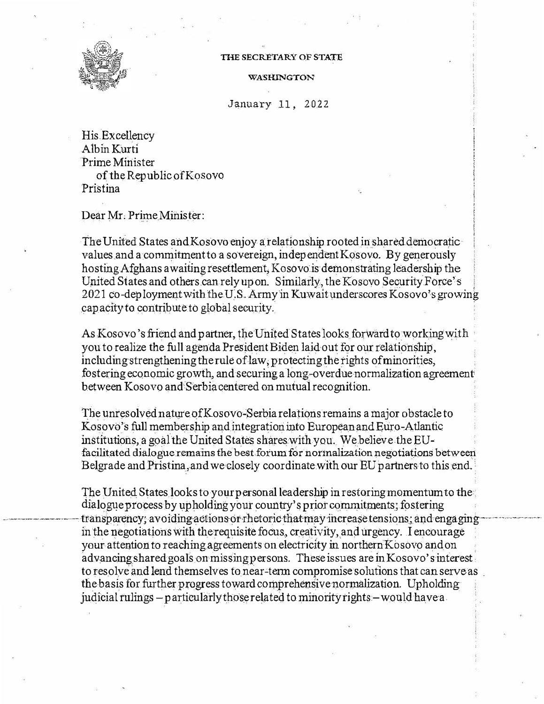

## THE SECRETARY OF STATE

WASHINGTON

## January 11, 2022

His Excellency Albin Kurti Prime Minister of the Republic of Kosovo Pristina

Dear Mr. Prime Minister:

The United States and Kosovo enjoy a relationship rooted in shared democratic values and a commitment to a sovereign, independent Kosovo. By generously hosting Afghans awaiting resettlement, Kosovo is demonstrating leadership the United States and others can rely up on. Similarly, the Kosovo Security Force's 2021 co-deployment with the U.S. Army in Kuwait underscores Kosovo's growing capacity to contribute to global security.

As Kosovo's friend and partner, the United States looks forward to working with you to realize the full agenda President Biden laid out for our relationship, including strengthening the rule of law, protecting the rights of minorities, fostering economic growth, and securing a long-overdue normalization agreement between Kosovo and Serbia centered on mutual recognition.

The unresolved nature of Kosovo-Serbia relations remains a major obstacle to Kosovo's full membership and integration into European and Euro-Atlantic institutions, a goal the United States shares with you. We believe the EUfacilitated dialogue remains the best forum for normalization negotiations between Belgrade and Pristina, and we closely coordinate with our EU partners to this end.

The United States looks to your personal leadership in restoring momentum to the dialogue process by upholding your country's prior commitments; fostering transparency; avoiding actions or rhetoric that may increase tensions; and engaging in the negotiations with the requisite focus, creativity, and urgency. I encourage your attention to reaching agreements on electricity in northern Kosovo and on advancing shared goals on missing persons. These issues are in Kosovo's interest. to resolve and lend themselves to near-term compromise solutions that can serve as the basis for further progress toward comprehensive normalization. Upholding judicial rulings – particularly those related to minority rights – would have a